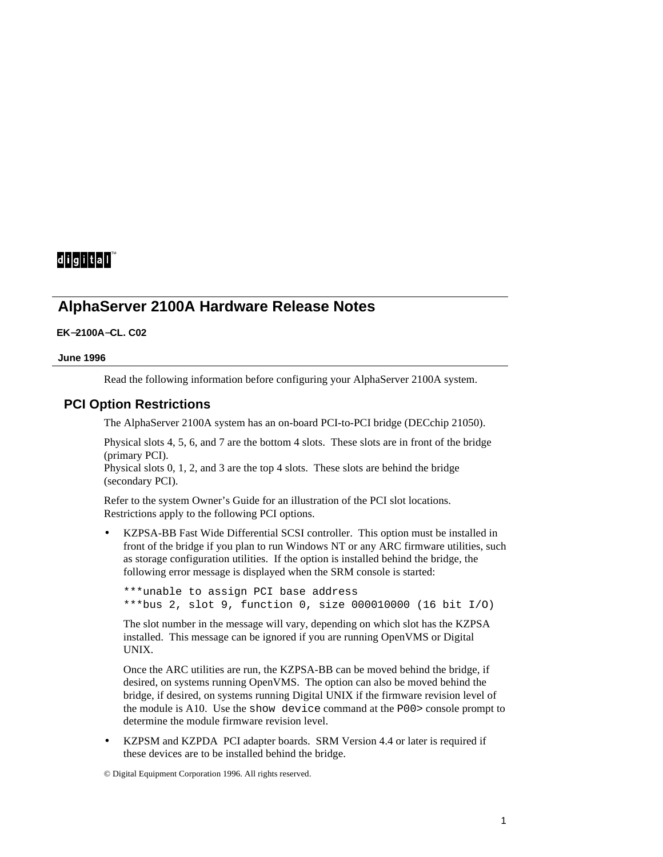# $di$ gital $i^*$

## **AlphaServer 2100A Hardware Release Notes**

#### **EK**−**2100A**−**CL. C02**

#### **June 1996**

Read the following information before configuring your AlphaServer 2100A system.

#### **PCI Option Restrictions**

The AlphaServer 2100A system has an on-board PCI-to-PCI bridge (DECchip 21050).

Physical slots 4, 5, 6, and 7 are the bottom 4 slots. These slots are in front of the bridge (primary PCI).

Physical slots 0, 1, 2, and 3 are the top 4 slots. These slots are behind the bridge (secondary PCI).

Refer to the system Owner's Guide for an illustration of the PCI slot locations. Restrictions apply to the following PCI options.

• KZPSA-BB Fast Wide Differential SCSI controller. This option must be installed in front of the bridge if you plan to run Windows NT or any ARC firmware utilities, such as storage configuration utilities. If the option is installed behind the bridge, the following error message is displayed when the SRM console is started:

```
***unable to assign PCI base address
***bus 2, slot 9, function 0, size 000010000 (16 bit I/O)
```
The slot number in the message will vary, depending on which slot has the KZPSA installed. This message can be ignored if you are running OpenVMS or Digital UNIX.

Once the ARC utilities are run, the KZPSA-BB can be moved behind the bridge, if desired, on systems running OpenVMS. The option can also be moved behind the bridge, if desired, on systems running Digital UNIX if the firmware revision level of the module is A10. Use the show device command at the P00> console prompt to determine the module firmware revision level.

• KZPSM and KZPDA PCI adapter boards. SRM Version 4.4 or later is required if these devices are to be installed behind the bridge.

© Digital Equipment Corporation 1996. All rights reserved.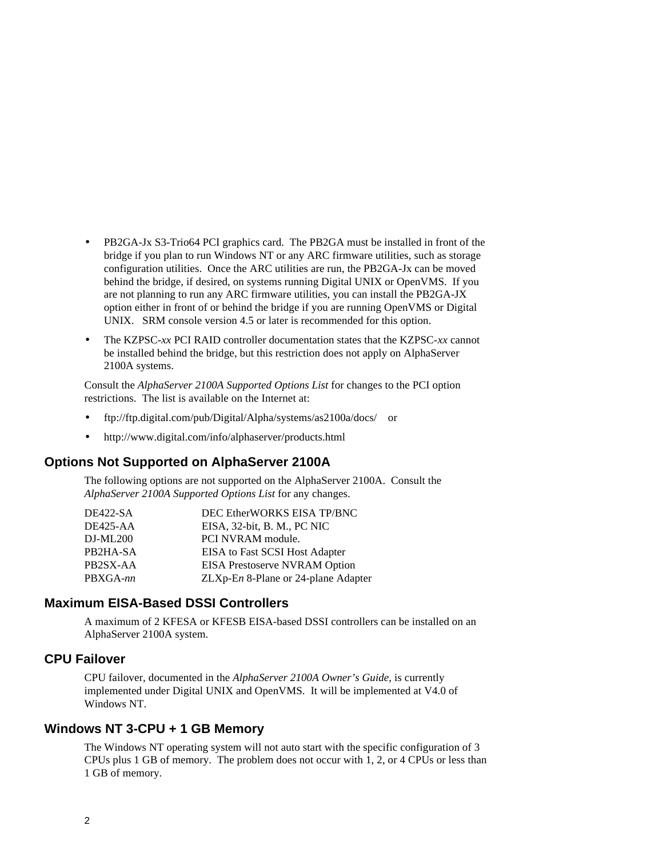- PB2GA-Jx S3-Trio64 PCI graphics card. The PB2GA must be installed in front of the bridge if you plan to run Windows NT or any ARC firmware utilities, such as storage configuration utilities. Once the ARC utilities are run, the PB2GA-Jx can be moved behind the bridge, if desired, on systems running Digital UNIX or OpenVMS. If you are not planning to run any ARC firmware utilities, you can install the PB2GA-JX option either in front of or behind the bridge if you are running OpenVMS or Digital UNIX. SRM console version 4.5 or later is recommended for this option.
- The KZPSC-*xx* PCI RAID controller documentation states that the KZPSC-*xx* cannot be installed behind the bridge, but this restriction does not apply on AlphaServer 2100A systems.

Consult the *AlphaServer 2100A Supported Options List* for changes to the PCI option restrictions. The list is available on the Internet at:

- ftp://ftp.digital.com/pub/Digital/Alpha/systems/as2100a/docs/ or
- http://www.digital.com/info/alphaserver/products.html

#### **Options Not Supported on AlphaServer 2100A**

The following options are not supported on the AlphaServer 2100A. Consult the *AlphaServer 2100A Supported Options List* for any changes.

| <b>DE422-SA</b> | DEC EtherWORKS EISA TP/BNC            |
|-----------------|---------------------------------------|
| DE425-AA        | EISA, 32-bit, B. M., PC NIC           |
| DJ-ML200        | PCI NVRAM module.                     |
| PB2HA-SA        | <b>EISA</b> to Fast SCSI Host Adapter |
| PB2SX-AA        | EISA Prestoserve NVRAM Option         |
| PBXGA-nn        | ZLXp-En 8-Plane or 24-plane Adapter   |
|                 |                                       |

### **Maximum EISA-Based DSSI Controllers**

A maximum of 2 KFESA or KFESB EISA-based DSSI controllers can be installed on an AlphaServer 2100A system.

#### **CPU Failover**

CPU failover, documented in the *AlphaServer 2100A Owner's Guide*, is currently implemented under Digital UNIX and OpenVMS. It will be implemented at V4.0 of Windows NT.

#### **Windows NT 3-CPU + 1 GB Memory**

The Windows NT operating system will not auto start with the specific configuration of 3 CPUs plus 1 GB of memory. The problem does not occur with 1, 2, or 4 CPUs or less than 1 GB of memory.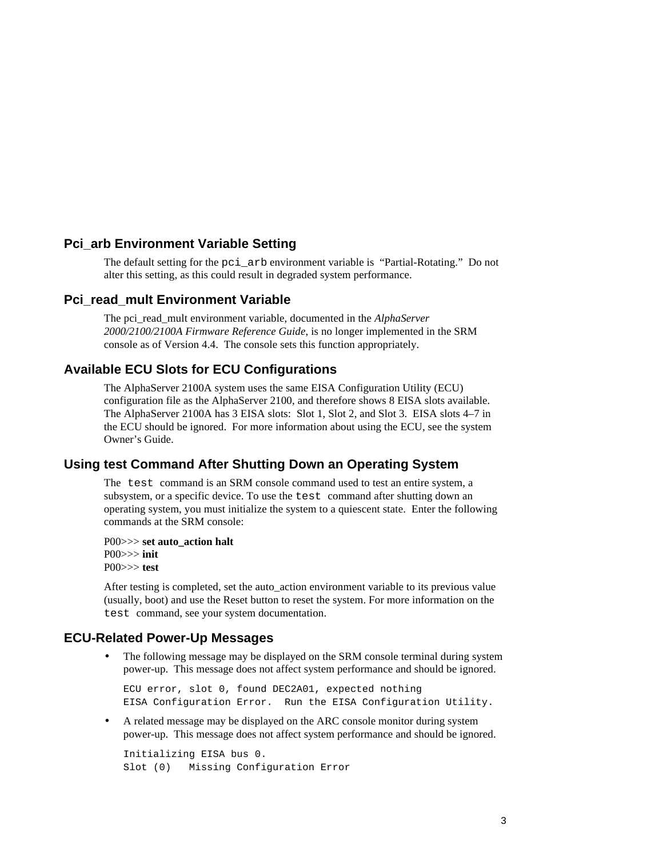### **Pci\_arb Environment Variable Setting**

The default setting for the pci\_arb environment variable is "Partial-Rotating." Do not alter this setting, as this could result in degraded system performance.

#### **Pci\_read\_mult Environment Variable**

The pci\_read\_mult environment variable, documented in the *AlphaServer 2000/2100/2100A Firmware Reference Guide*, is no longer implemented in the SRM console as of Version 4.4. The console sets this function appropriately.

### **Available ECU Slots for ECU Configurations**

The AlphaServer 2100A system uses the same EISA Configuration Utility (ECU) configuration file as the AlphaServer 2100, and therefore shows 8 EISA slots available. The AlphaServer 2100A has 3 EISA slots: Slot 1, Slot 2, and Slot 3. EISA slots 4–7 in the ECU should be ignored. For more information about using the ECU, see the system Owner's Guide.

#### **Using test Command After Shutting Down an Operating System**

The test command is an SRM console command used to test an entire system, a subsystem, or a specific device. To use the test command after shutting down an operating system, you must initialize the system to a quiescent state. Enter the following commands at the SRM console:

P00>>> **set auto\_action halt** P00>>> **init** P00>>> **test**

After testing is completed, set the auto\_action environment variable to its previous value (usually, boot) and use the Reset button to reset the system. For more information on the test command, see your system documentation.

#### **ECU-Related Power-Up Messages**

• The following message may be displayed on the SRM console terminal during system power-up. This message does not affect system performance and should be ignored.

ECU error, slot 0, found DEC2A01, expected nothing EISA Configuration Error. Run the EISA Configuration Utility.

• A related message may be displayed on the ARC console monitor during system power-up. This message does not affect system performance and should be ignored.

```
Initializing EISA bus 0.
Slot (0) Missing Configuration Error
```